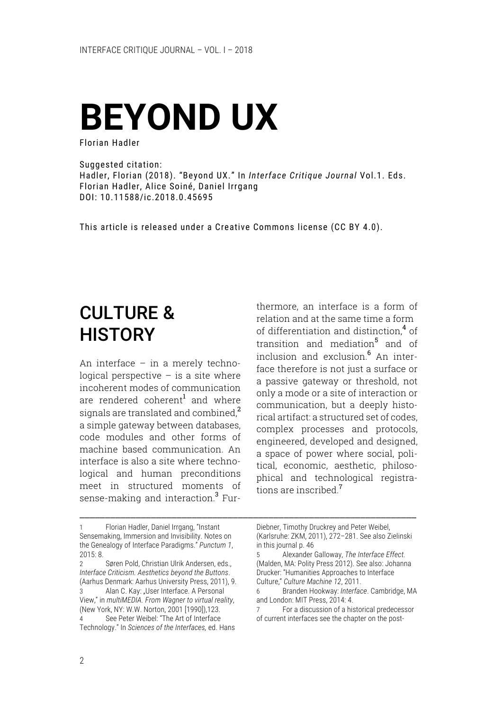# **BEYOND UX**

Florian Hadler

Suggested citation: Hadler, Florian (2018). "Beyond UX." In *Interface Critique Journal* Vol.1. Eds. Florian Hadler, Alice Soiné, Daniel Irrgang DOI: 10.11588/ic.2018.0.45695

––––––––––––––––––––––––––––––––––––––––––––––––––––––––––––––––––

This article is released under a Creative Commons license (CC BY 4.0).

#### CULTURE & **HISTORY**

An interface – in a merely technological perspective  $-$  is a site where incoherent modes of communication are rendered coherent<sup>1</sup> and where signals are translated and combined.<sup>2</sup> a simple gateway between databases, code modules and other forms of machine based communication. An interface is also a site where technological and human preconditions meet in structured moments of sense-making and interaction.<sup>3</sup> Fur-

Technology." In *Sciences of the Interfaces,* ed. Hans

thermore, an interface is a form of relation and at the same time a form of differentiation and distinction.<sup>4</sup> of transition and mediation<sup>5</sup> and of inclusion and exclusion.<sup>6</sup> An interface therefore is not just a surface or a passive gateway or threshold, not only a mode or a site of interaction or communication, but a deeply historical artifact: a structured set of codes, complex processes and protocols, engineered, developed and designed, a space of power where social, political, economic, aesthetic, philosophical and technological registrations are inscribed<sup>7</sup>

Diebner, Timothy Druckrey and Peter Weibel, (Karlsruhe: ZKM, 2011), 272–281. See also Zielinski in this journal p. 46

<sup>1</sup> Florian Hadler, Daniel Irrgang, "Instant Sensemaking, Immersion and Invisibility. Notes on the Genealogy of Interface Paradigms." *Punctum 1*,  $2015.8$ 

Søren Pold, Christian Ulrik Andersen, eds., *Interface Criticism. Aesthetics beyond the Buttons*. (Aarhus Denmark: Aarhus University Press, 2011), 9. 3 Alan C. Kay: "User Interface. A Personal View," in *multiMEDIA. From Wagner to virtual reality*, (New York, NY: W.W. Norton, 2001 [1990]),123. 4 See Peter Weibel: "The Art of Interface

<sup>5</sup> Alexander Galloway, *The Interface Effect.* (Malden, MA: Polity Press 2012). See also: Johanna Drucker: "Humanities Approaches to Interface Culture," *Culture Machine 12*, 2011.

<sup>6</sup> Branden Hookway: *Interface*. Cambridge, MA and London: MIT Press, 2014: 4.

<sup>7</sup> For a discussion of a historical predecessor of current interfaces see the chapter on the post-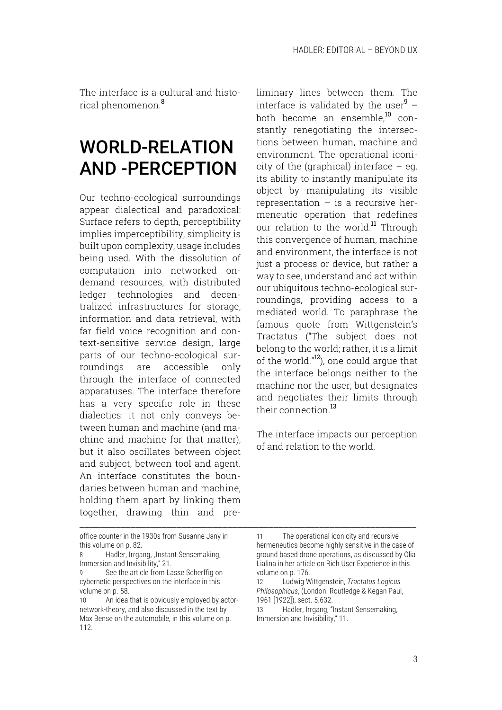The interface is a cultural and historical phenomenon.<sup>8</sup>

# WORLD-RELATION AND -PERCEPTION

Our techno-ecological surroundings appear dialectical and paradoxical: Surface refers to depth, perceptibility implies imperceptibility, simplicity is built upon complexity, usage includes being used. With the dissolution of computation into networked ondemand resources, with distributed ledger technologies and decentralized infrastructures for storage, information and data retrieval, with far field voice recognition and context-sensitive service design, large parts of our techno-ecological surroundings are accessible only through the interface of connected apparatuses. The interface therefore has a very specific role in these dialectics: it not only conveys between human and machine (and machine and machine for that matter), but it also oscillates between object and subject, between tool and agent. An interface constitutes the boundaries between human and machine, holding them apart by linking them together, drawing thin and pre-

–––––––––––––––––––––––––––––––––––––––––––––––––––––––––––––––––– office counter in the 1930s from Susanne Jany in this volume on p. 82. 8 Hadler, Irrgang, "Instant Sensemaking,

liminary lines between them. The interface is validated by the user $9$ both become an ensemble.<sup>10</sup> constantly renegotiating the intersections between human, machine and environment. The operational iconicity of the (graphical) interface  $-$  eq. its ability to instantly manipulate its object by manipulating its visible representation  $-$  is a recursive hermeneutic operation that redefines our relation to the world.<sup>11</sup> Through this convergence of human, machine and environment, the interface is not just a process or device, but rather a way to see, understand and act within our ubiquitous techno-ecological surroundings, providing access to a mediated world. To paraphrase the famous quote from Wittgenstein's Tractatus ("The subject does not belong to the world; rather, it is a limit of the world."<sup>12</sup>), one could argue that the interface belongs neither to the machine nor the user, but designates and negotiates their limits through their connection<sup>13</sup>

The interface impacts our perception of and relation to the world.

Immersion and Invisibility," 21.

See the article from Lasse Scherffig on cybernetic perspectives on the interface in this volume on p. 58.

<sup>10</sup> An idea that is obviously employed by actornetwork-theory, and also discussed in the text by Max Bense on the automobile, in this volume on p. 112.

<sup>11</sup> The operational iconicity and recursive hermeneutics become highly sensitive in the case of ground based drone operations, as discussed by Olia Lialina in her article on Rich User Experience in this volume on p. 176.

<sup>12</sup> Ludwig Wittgenstein, *Tractatus Logicus Philosophicus*, (London: Routledge & Kegan Paul, 1961 [1922]), sect. 5.632.

<sup>13</sup> Hadler, Irrgang, "Instant Sensemaking, Immersion and Invisibility," 11.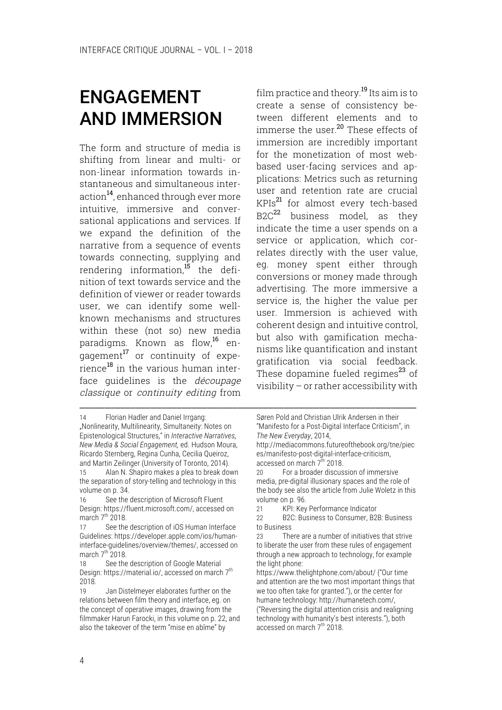### ENGAGEMENT AND IMMERSION

The form and structure of media is shifting from linear and multi- or non-linear information towards instantaneous and simultaneous interaction<sup>14</sup>, enhanced through ever more intuitive, immersive and conversational applications and services. If we expand the definition of the narrative from a sequence of events towards connecting, supplying and rendering information.<sup>15</sup> the definition of text towards service and the definition of viewer or reader towards user, we can identify some wellknown mechanisms and structures within these (not so) new media paradigms. Known as flow,<sup>16</sup> enqagement<sup>17</sup> or continuity of experience<sup>18</sup> in the various human interface quidelines is the *découpage* classique or continuity editing from

16 See the description of Microsoft Fluent Design: https://fluent.microsoft.com/, accessed on march  $7<sup>th</sup>$  2018.

film practice and theory.<sup>19</sup> Its aim is to create a sense of consistency between different elements and to immerse the user.<sup>20</sup> These effects of immersion are incredibly important for the monetization of most webbased user-facing services and applications: Metrics such as returning user and retention rate are crucial KPIs<sup>21</sup> for almost every tech-based B2C<sup>22</sup> business model, as they indicate the time a user spends on a service or application, which correlates directly with the user value, eg. money spent either through conversions or money made through advertising. The more immersive a service is, the higher the value per user. Immersion is achieved with coherent design and intuitive control, but also with gamification mechanisms like quantification and instant gratification via social feedback. These dopamine fueled regimes<sup>23</sup> of visibility – or rather accessibility with

––––––––––––––––––––––––––––––––––––––––––––––––––––––––––––––––––

For a broader discussion of immersive media, pre-digital illusionary spaces and the role of the body see also the article from Julie Woletz in this volume on p. 96.

<sup>14</sup> Florian Hadler and Daniel Irrgang: "Nonlinearity, Multilinearity, Simultaneity: Notes on Epistenological Structures," in *Interactive Narratives, New Media & Social Engagement,* ed. Hudson Moura, Ricardo Sternberg, Regina Cunha, Cecilia Queiroz, and Martin Zeilinger (University of Toronto, 2014).

<sup>15</sup> Alan N. Shapiro makes a plea to break down the separation of story-telling and technology in this volume on p. 34.

<sup>17</sup> See the description of iOS Human Interface Guidelines: https://developer.apple.com/ios/humaninterface-guidelines/overview/themes/, accessed on march  $7<sup>th</sup>$  2018.

<sup>18</sup> See the description of Google Material Design: https://material.io/, accessed on march 7<sup>th</sup> 2018.

<sup>19</sup> Jan Distelmeyer elaborates further on the relations between film theory and interface, eg. on the concept of operative images, drawing from the filmmaker Harun Farocki, in this volume on p. 22, and also the takeover of the term "mise en abîme" by

Søren Pold and Christian Ulrik Andersen in their "Manifesto for a Post-Digital Interface Criticism", in *The New Everyday*, 2014,

http://mediacommons.futureofthebook.org/tne/piec es/manifesto-post-digital-interface-criticism, accessed on march  $7^{th}$  2018.<br>20 For a broader discus

<sup>21</sup> KPI: Key Performance Indicator

<sup>22</sup> B2C: Business to Consumer, B2B: Business to Business

<sup>23</sup> There are a number of initiatives that strive to liberate the user from these rules of engagement through a new approach to technology, for example the light phone:

https://www.thelightphone.com/about/ ("Our time and attention are the two most important things that we too often take for granted."), or the center for humane technology: http://humanetech.com/, ("Reversing the digital attention crisis and realigning technology with humanity's best interests."), both accessed on march  $7<sup>th</sup>$  2018.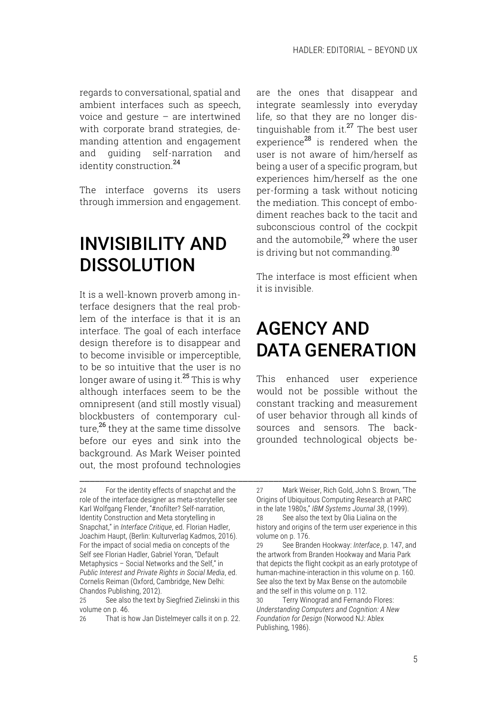regards to conversational, spatial and ambient interfaces such as speech, voice and gesture – are intertwined with corporate brand strategies, demanding attention and engagement and guiding self-narration and identity construction.<sup>24</sup>

The interface governs its users through immersion and engagement.

## INVISIBILITY AND DISSOLUTION

It is a well-known proverb among interface designers that the real problem of the interface is that it is an interface. The goal of each interface design therefore is to disappear and to become invisible or imperceptible, to be so intuitive that the user is no longer aware of using it.<sup>25</sup> This is why although interfaces seem to be the omnipresent (and still mostly visual) blockbusters of contemporary culture, $^{26}$  they at the same time dissolve before our eyes and sink into the background. As Mark Weiser pointed out, the most profound technologies

are the ones that disappear and integrate seamlessly into everyday life, so that they are no longer distinguishable from it. $27$  The best user experience<sup>28</sup> is rendered when the user is not aware of him/herself as being a user of a specific program, but experiences him/herself as the one per-forming a task without noticing the mediation. This concept of embodiment reaches back to the tacit and subconscious control of the cockpit and the automobile,<sup>29</sup> where the user is driving but not commanding.<sup>30</sup>

The interface is most efficient when it is invisible.

#### AGENCY AND DATA GENERATION

This enhanced user experience would not be possible without the constant tracking and measurement of user behavior through all kinds of sources and sensors. The backgrounded technological objects be-

––––––––––––––––––––––––––––––––––––––––––––––––––––––––––––––––––

<sup>24</sup> For the identity effects of snapchat and the role of the interface designer as meta-storyteller see Karl Wolfgang Flender, "#nofilter? Self-narration, Identity Construction and Meta storytelling in Snapchat," in *Interface Critique*, ed. Florian Hadler, Joachim Haupt, (Berlin: Kulturverlag Kadmos, 2016). For the impact of social media on concepts of the Self see Florian Hadler, Gabriel Yoran, "Default Metaphysics – Social Networks and the Self," in *Public Interest and Private Rights in Social Media*, ed. Cornelis Reiman (Oxford, Cambridge, New Delhi: Chandos Publishing, 2012).

<sup>25</sup> See also the text by Siegfried Zielinski in this volume on p. 46.

<sup>26</sup> That is how Jan Distelmeyer calls it on p. 22.

<sup>27</sup> Mark Weiser, Rich Gold, John S. Brown, "The Origins of Ubiquitous Computing Research at PARC in the late 1980s," *IBM Systems Journal 38*, (1999). See also the text by Olia Lialina on the history and origins of the term user experience in this volume on p. 176.

<sup>29</sup> See Branden Hookway: *Interface*, p. 147, and the artwork from Branden Hookway and Maria Park that depicts the flight cockpit as an early prototype of human-machine-interaction in this volume on p. 160. See also the text by Max Bense on the automobile and the self in this volume on p. 112.

<sup>30</sup> Terry Winograd and Fernando Flores: *Understanding Computers and Cognition: A New Foundation for Design* (Norwood NJ: Ablex Publishing, 1986).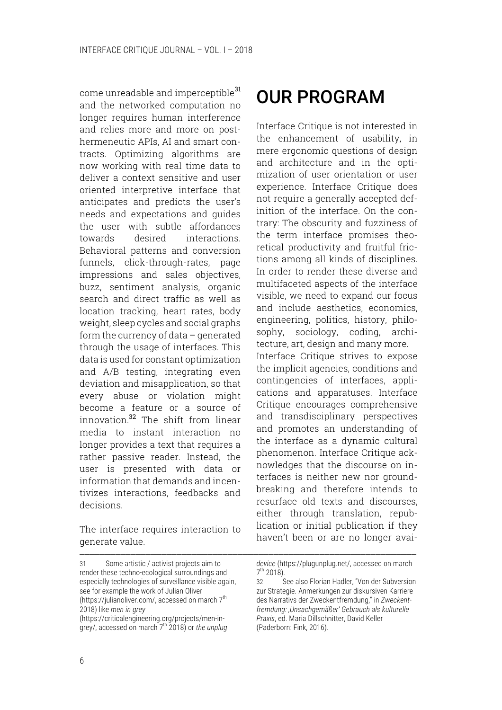come unreadable and imperceptible<sup>31</sup> and the networked computation no longer requires human interference and relies more and more on posthermeneutic APIs, AI and smart contracts. Optimizing algorithms are now working with real time data to deliver a context sensitive and user oriented interpretive interface that anticipates and predicts the user's needs and expectations and guides the user with subtle affordances towards desired interactions. Behavioral patterns and conversion funnels, click-through-rates, page impressions and sales objectives, buzz, sentiment analysis, organic search and direct traffic as well as location tracking, heart rates, body weight, sleep cycles and social graphs form the currency of data – generated through the usage of interfaces. This data is used for constant optimization and A/B testing, integrating even deviation and misapplication, so that every abuse or violation might become a feature or a source of innovation.<sup>32</sup> The shift from linear media to instant interaction no longer provides a text that requires a rather passive reader. Instead, the user is presented with data or information that demands and incentivizes interactions, feedbacks and decisions.

The interface requires interaction to generate value.

## OUR PROGRAM

Interface Critique is not interested in the enhancement of usability, in mere ergonomic questions of design and architecture and in the optimization of user orientation or user experience. Interface Critique does not require a generally accepted definition of the interface. On the contrary: The obscurity and fuzziness of the term interface promises theoretical productivity and fruitful frictions among all kinds of disciplines. In order to render these diverse and multifaceted aspects of the interface visible, we need to expand our focus and include aesthetics, economics, engineering, politics, history, philosophy, sociology, coding, architecture, art, design and many more. Interface Critique strives to expose the implicit agencies, conditions and contingencies of interfaces, applications and apparatuses. Interface Critique encourages comprehensive and transdisciplinary perspectives and promotes an understanding of the interface as a dynamic cultural phenomenon. Interface Critique acknowledges that the discourse on interfaces is neither new nor groundbreaking and therefore intends to resurface old texts and discourses, either through translation, republication or initial publication if they haven't been or are no longer avai-

<sup>31</sup> Some artistic / activist projects aim to render these techno-ecological surroundings and especially technologies of surveillance visible again, see for example the work of Julian Oliver (https://julianoliver.com/, accessed on march  $7<sup>th</sup>$ 2018) like *men in grey*

<sup>(</sup>https://criticalengineering.org/projects/men-ingrey/, accessed on march 7th 2018) or *the unplug* 

<sup>––––––––––––––––––––––––––––––––––––––––––––––––––––––––––––––––––</sup> *device* (https://plugunplug.net/, accessed on march  $7^{th}$  2018).

<sup>32</sup> See also Florian Hadler, "Von der Subversion zur Strategie. Anmerkungen zur diskursiven Karriere des Narrativs der Zweckentfremdung," in *Zweckentfremdung: 'Unsachgemäßer' Gebrauch als kulturelle Praxis*, ed. Maria Dillschnitter, David Keller (Paderborn: Fink, 2016).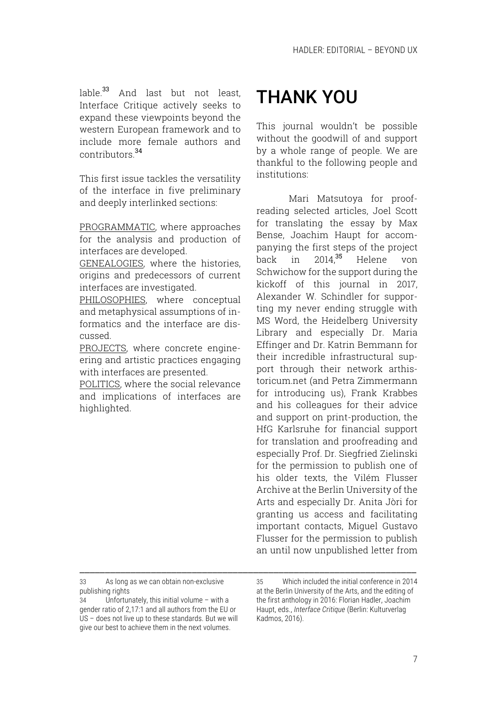lable.<sup>33</sup> And last but not least, Interface Critique actively seeks to expand these viewpoints beyond the western European framework and to include more female authors and contributors.<sup>34</sup>

This first issue tackles the versatility of the interface in five preliminary and deeply interlinked sections:

PROGRAMMATIC, where approaches for the analysis and production of interfaces are developed.

GENEALOGIES, where the histories, origins and predecessors of current interfaces are investigated.

PHILOSOPHIES, where conceptual and metaphysical assumptions of informatics and the interface are discussed.

PROJECTS, where concrete engineering and artistic practices engaging with interfaces are presented.

POLITICS, where the social relevance and implications of interfaces are highlighted.

# THANK YOU

This journal wouldn't be possible without the goodwill of and support by a whole range of people. We are thankful to the following people and institutions:

Mari Matsutoya for proofreading selected articles, Joel Scott for translating the essay by Max Bense, Joachim Haupt for accompanying the first steps of the project back in 2014.<sup>35</sup> Helene von Schwichow for the support during the kickoff of this journal in 2017, Alexander W. Schindler for supporting my never ending struggle with MS Word, the Heidelberg University Library and especially Dr. Maria Effinger and Dr. Katrin Bemmann for their incredible infrastructural support through their network arthistoricum.net (and Petra Zimmermann for introducing us), Frank Krabbes and his colleagues for their advice and support on print-production, the HfG Karlsruhe for financial support for translation and proofreading and especially Prof. Dr. Siegfried Zielinski for the permission to publish one of his older texts, the Vilém Flusser Archive at the Berlin University of the Arts and especially Dr. Anita Jòri for granting us access and facilitating important contacts, Miguel Gustavo Flusser for the permission to publish an until now unpublished letter from

33 As long as we can obtain non-exclusive publishing rights

––––––––––––––––––––––––––––––––––––––––––––––––––––––––––––––––––

<sup>34</sup> Unfortunately, this initial volume – with a gender ratio of 2,17:1 and all authors from the EU or US – does not live up to these standards. But we will give our best to achieve them in the next volumes.

<sup>35</sup> Which included the initial conference in 2014 at the Berlin University of the Arts, and the editing of the first anthology in 2016: Florian Hadler, Joachim Haupt, eds., *Interface Critique* (Berlin: Kulturverlag Kadmos, 2016).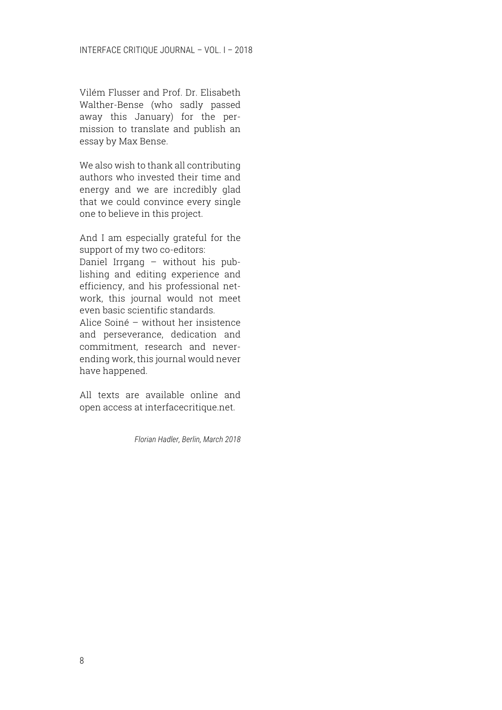Vilém Flusser and Prof. Dr. Elisabeth Walther-Bense (who sadly passed away this January) for the permission to translate and publish an essay by Max Bense.

We also wish to thank all contributing authors who invested their time and energy and we are incredibly glad that we could convince every single one to believe in this project.

And I am especially grateful for the support of my two co-editors: Daniel Irrgang – without his publishing and editing experience and efficiency, and his professional network, this journal would not meet even basic scientific standards. Alice Soiné – without her insistence and perseverance, dedication and

commitment, research and neverending work, this journal would never have happened.

All texts are available online and open access at interfacecritique.net.

*Florian Hadler, Berlin, March 2018*